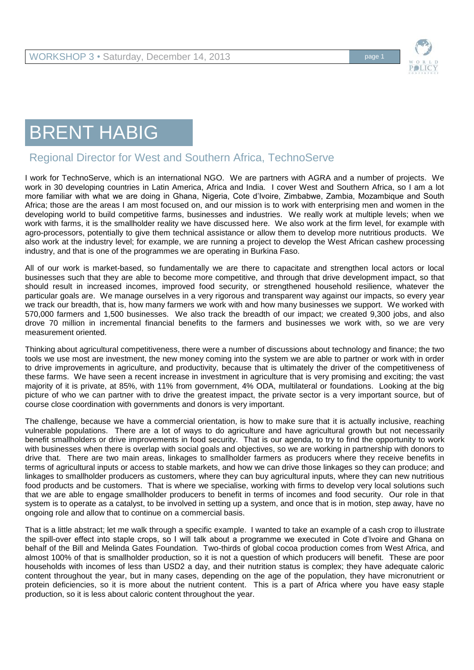

## BRENT HABIG

## Regional Director for West and Southern Africa, TechnoServe

I work for TechnoServe, which is an international NGO. We are partners with AGRA and a number of projects. We work in 30 developing countries in Latin America, Africa and India. I cover West and Southern Africa, so I am a lot more familiar with what we are doing in Ghana, Nigeria, Cote d'Ivoire, Zimbabwe, Zambia, Mozambique and South Africa; those are the areas I am most focused on, and our mission is to work with enterprising men and women in the developing world to build competitive farms, businesses and industries. We really work at multiple levels; when we work with farms, it is the smallholder reality we have discussed here. We also work at the firm level, for example with agro-processors, potentially to give them technical assistance or allow them to develop more nutritious products. We also work at the industry level; for example, we are running a project to develop the West African cashew processing industry, and that is one of the programmes we are operating in Burkina Faso.

All of our work is market-based, so fundamentally we are there to capacitate and strengthen local actors or local businesses such that they are able to become more competitive, and through that drive development impact, so that should result in increased incomes, improved food security, or strengthened household resilience, whatever the particular goals are. We manage ourselves in a very rigorous and transparent way against our impacts, so every year we track our breadth, that is, how many farmers we work with and how many businesses we support. We worked with 570,000 farmers and 1,500 businesses. We also track the breadth of our impact; we created 9,300 jobs, and also drove 70 million in incremental financial benefits to the farmers and businesses we work with, so we are very measurement oriented.

Thinking about agricultural competitiveness, there were a number of discussions about technology and finance; the two tools we use most are investment, the new money coming into the system we are able to partner or work with in order to drive improvements in agriculture, and productivity, because that is ultimately the driver of the competitiveness of these farms. We have seen a recent increase in investment in agriculture that is very promising and exciting; the vast majority of it is private, at 85%, with 11% from government, 4% ODA, multilateral or foundations. Looking at the big picture of who we can partner with to drive the greatest impact, the private sector is a very important source, but of course close coordination with governments and donors is very important.

The challenge, because we have a commercial orientation, is how to make sure that it is actually inclusive, reaching vulnerable populations. There are a lot of ways to do agriculture and have agricultural growth but not necessarily benefit smallholders or drive improvements in food security. That is our agenda, to try to find the opportunity to work with businesses when there is overlap with social goals and objectives, so we are working in partnership with donors to drive that. There are two main areas, linkages to smallholder farmers as producers where they receive benefits in terms of agricultural inputs or access to stable markets, and how we can drive those linkages so they can produce; and linkages to smallholder producers as customers, where they can buy agricultural inputs, where they can new nutritious food products and be customers. That is where we specialise, working with firms to develop very local solutions such that we are able to engage smallholder producers to benefit in terms of incomes and food security. Our role in that system is to operate as a catalyst, to be involved in setting up a system, and once that is in motion, step away, have no ongoing role and allow that to continue on a commercial basis.

That is a little abstract; let me walk through a specific example. I wanted to take an example of a cash crop to illustrate the spill-over effect into staple crops, so I will talk about a programme we executed in Cote d'Ivoire and Ghana on behalf of the Bill and Melinda Gates Foundation. Two-thirds of global cocoa production comes from West Africa, and almost 100% of that is smallholder production, so it is not a question of which producers will benefit. These are poor households with incomes of less than USD2 a day, and their nutrition status is complex; they have adequate caloric content throughout the year, but in many cases, depending on the age of the population, they have micronutrient or protein deficiencies, so it is more about the nutrient content. This is a part of Africa where you have easy staple production, so it is less about caloric content throughout the year.